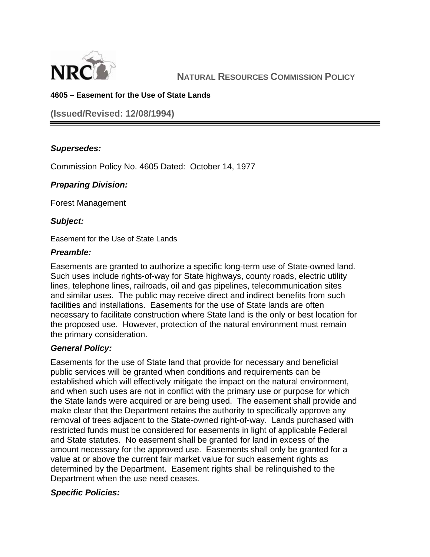

# **4605 – Easement for the Use of State Lands**

**(Issued/Revised: 12/08/1994)** 

# *Supersedes:*

Commission Policy No. 4605 Dated: October 14, 1977

## *Preparing Division:*

Forest Management

## *Subject:*

Easement for the Use of State Lands

## *Preamble:*

Easements are granted to authorize a specific long-term use of State-owned land. Such uses include rights-of-way for State highways, county roads, electric utility lines, telephone lines, railroads, oil and gas pipelines, telecommunication sites and similar uses. The public may receive direct and indirect benefits from such facilities and installations. Easements for the use of State lands are often necessary to facilitate construction where State land is the only or best location for the proposed use. However, protection of the natural environment must remain the primary consideration.

## *General Policy:*

Easements for the use of State land that provide for necessary and beneficial public services will be granted when conditions and requirements can be established which will effectively mitigate the impact on the natural environment, and when such uses are not in conflict with the primary use or purpose for which the State lands were acquired or are being used. The easement shall provide and make clear that the Department retains the authority to specifically approve any removal of trees adjacent to the State-owned right-of-way. Lands purchased with restricted funds must be considered for easements in light of applicable Federal and State statutes. No easement shall be granted for land in excess of the amount necessary for the approved use. Easements shall only be granted for a value at or above the current fair market value for such easement rights as determined by the Department. Easement rights shall be relinquished to the Department when the use need ceases.

## *Specific Policies:*